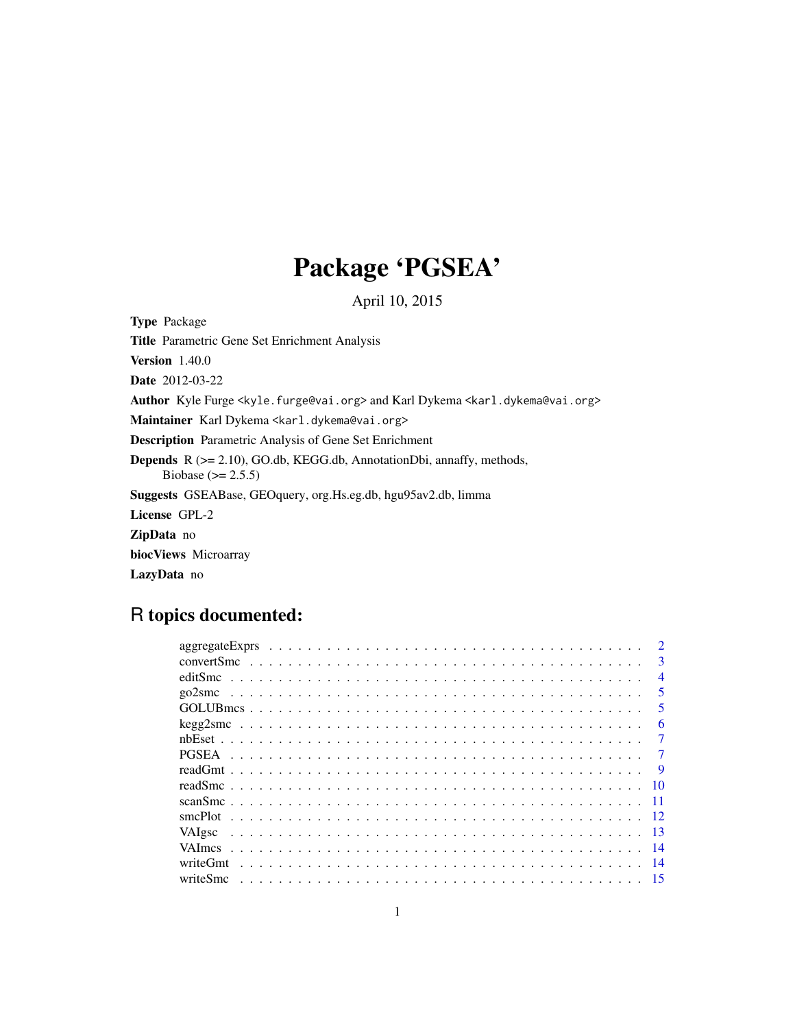## Package 'PGSEA'

April 10, 2015

Type Package

Title Parametric Gene Set Enrichment Analysis Version 1.40.0 Date 2012-03-22 Author Kyle Furge <kyle.furge@vai.org> and Karl Dykema <karl.dykema@vai.org> Maintainer Karl Dykema <karl.dykema@vai.org> Description Parametric Analysis of Gene Set Enrichment Depends R (>= 2.10), GO.db, KEGG.db, AnnotationDbi, annaffy, methods, Biobase ( $> = 2.5.5$ ) Suggests GSEABase, GEOquery, org.Hs.eg.db, hgu95av2.db, limma License GPL-2 ZipData no biocViews Microarray

LazyData no

## R topics documented:

|              | $\mathbf{3}$             |
|--------------|--------------------------|
|              | $\overline{\mathcal{A}}$ |
| go2smc       | $\overline{\mathbf{5}}$  |
|              | 5                        |
|              | 6                        |
|              | 7                        |
| <b>PGSEA</b> |                          |
|              |                          |
|              |                          |
|              | -10                      |
|              | - 11                     |
|              |                          |
| VAIgsc       | $\overline{13}$          |
|              |                          |
| writeGmt     | 14                       |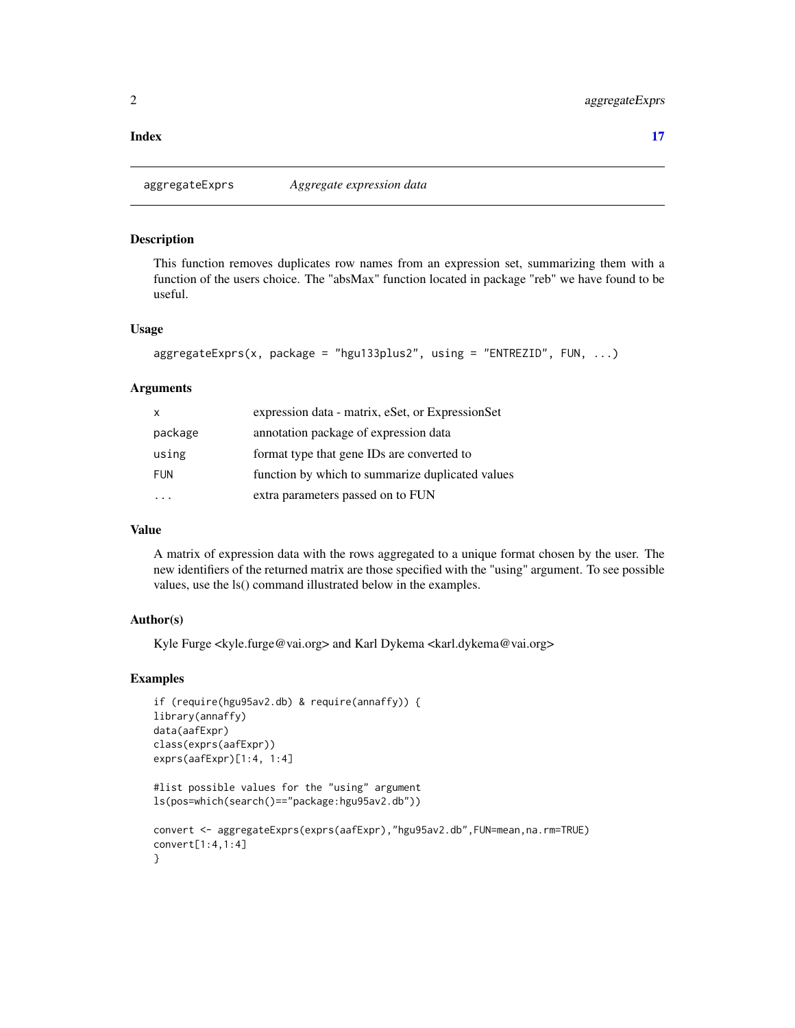#### <span id="page-1-0"></span>**Index** [17](#page-16-0)

aggregateExprs *Aggregate expression data*

#### Description

This function removes duplicates row names from an expression set, summarizing them with a function of the users choice. The "absMax" function located in package "reb" we have found to be useful.

#### Usage

```
aggregateExprs(x, package = "hgu133plus2", using = "ENTREZID", FUN, ...)
```
## Arguments

| X          | expression data - matrix, eSet, or ExpressionSet |
|------------|--------------------------------------------------|
| package    | annotation package of expression data            |
| using      | format type that gene IDs are converted to       |
| <b>FUN</b> | function by which to summarize duplicated values |
|            | extra parameters passed on to FUN                |

## Value

A matrix of expression data with the rows aggregated to a unique format chosen by the user. The new identifiers of the returned matrix are those specified with the "using" argument. To see possible values, use the ls() command illustrated below in the examples.

#### Author(s)

Kyle Furge <kyle.furge@vai.org> and Karl Dykema <karl.dykema@vai.org>

```
if (require(hgu95av2.db) & require(annaffy)) {
library(annaffy)
data(aafExpr)
class(exprs(aafExpr))
exprs(aafExpr)[1:4, 1:4]
```

```
#list possible values for the "using" argument
ls(pos=which(search()=="package:hgu95av2.db"))
```

```
convert <- aggregateExprs(exprs(aafExpr),"hgu95av2.db",FUN=mean,na.rm=TRUE)
convert[1:4,1:4]
}
```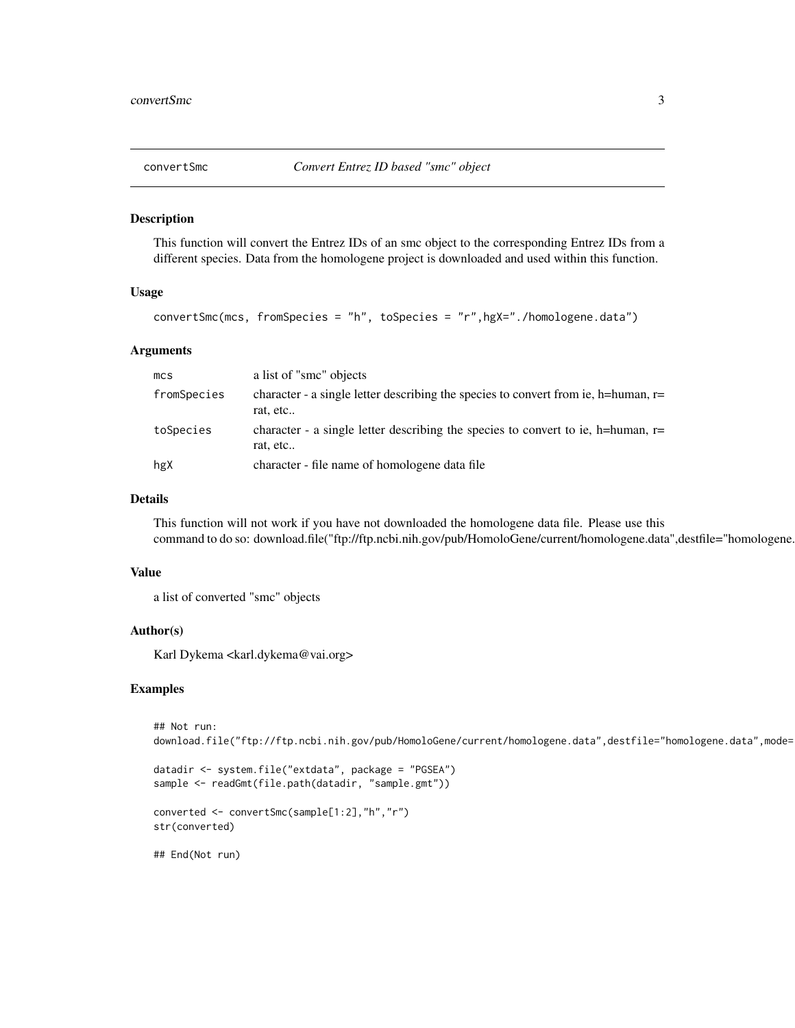<span id="page-2-0"></span>

This function will convert the Entrez IDs of an smc object to the corresponding Entrez IDs from a different species. Data from the homologene project is downloaded and used within this function.

## Usage

```
convertSmc(mcs, fromSpecies = "h", toSpecies = "r",hgX="./homologene.data")
```
## Arguments

| mc <sub>S</sub> | a list of "smc" objects                                                                          |
|-----------------|--------------------------------------------------------------------------------------------------|
| fromSpecies     | character - a single letter describing the species to convert from ie, h=human, $r=$<br>rat, etc |
| toSpecies       | character - a single letter describing the species to convert to ie, h=human, $r=$<br>rat, etc   |
| hgX             | character - file name of homologene data file                                                    |

## Details

This function will not work if you have not downloaded the homologene data file. Please use this command to do so: download.file("ftp://ftp.ncbi.nih.gov/pub/HomoloGene/current/homologene.data",destfile="homologene.

#### Value

a list of converted "smc" objects

#### Author(s)

Karl Dykema <karl.dykema@vai.org>

#### Examples

```
## Not run:
download.file("ftp://ftp.ncbi.nih.gov/pub/HomoloGene/current/homologene.data",destfile="homologene.data",mode=
```

```
datadir <- system.file("extdata", package = "PGSEA")
sample <- readGmt(file.path(datadir, "sample.gmt"))
```

```
converted <- convertSmc(sample[1:2],"h","r")
str(converted)
```
## End(Not run)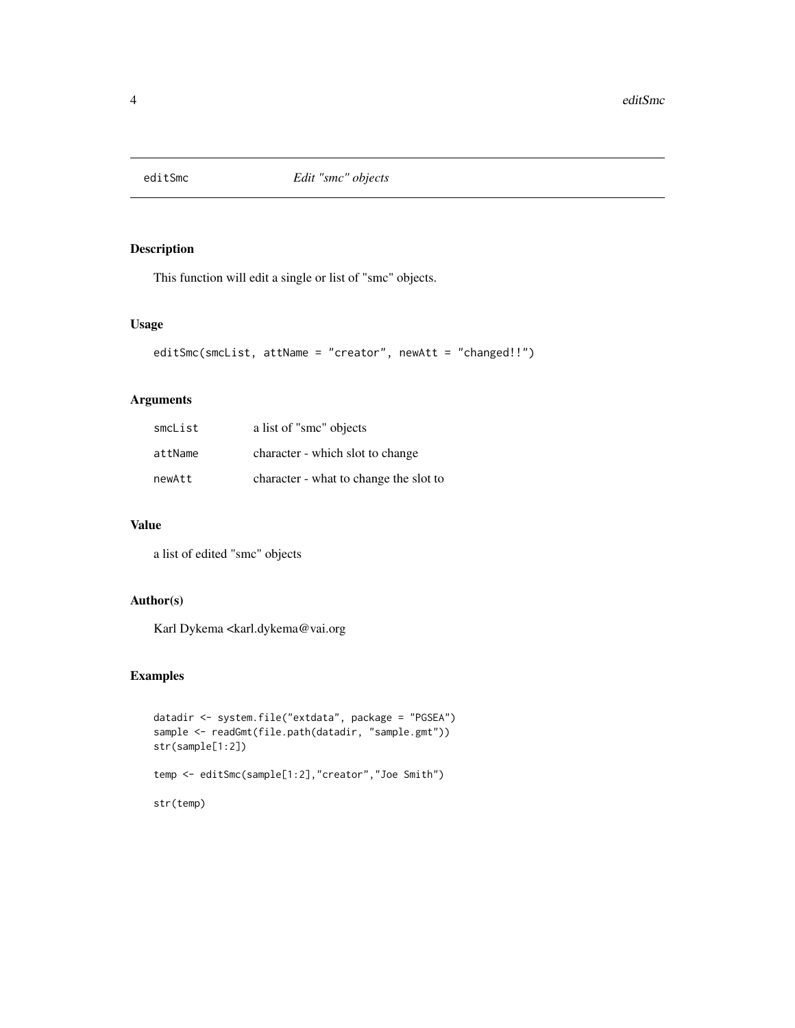<span id="page-3-0"></span>

This function will edit a single or list of "smc" objects.

### Usage

```
editSmc(smcList, attName = "creator", newAtt = "changed!!")
```
## Arguments

| smcList | a list of "smc" objects                |
|---------|----------------------------------------|
| attName | character - which slot to change       |
| newAtt  | character - what to change the slot to |

#### Value

a list of edited "smc" objects

## Author(s)

Karl Dykema <karl.dykema@vai.org

```
datadir <- system.file("extdata", package = "PGSEA")
sample <- readGmt(file.path(datadir, "sample.gmt"))
str(sample[1:2])
temp <- editSmc(sample[1:2],"creator","Joe Smith")
str(temp)
```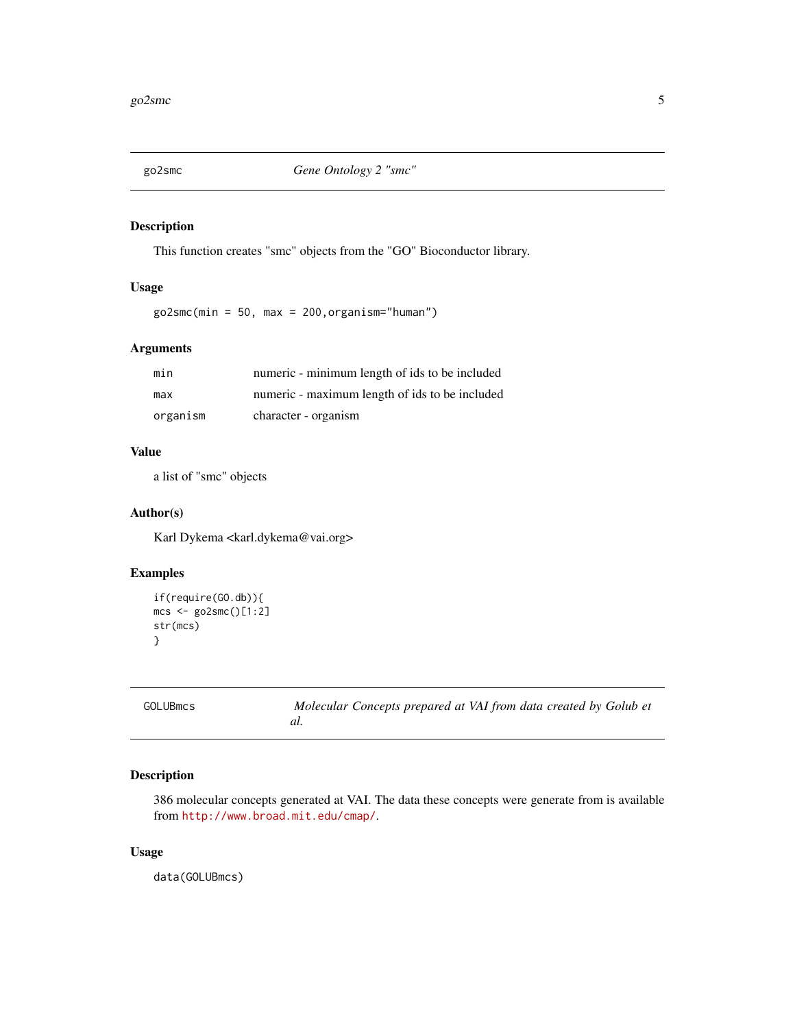<span id="page-4-0"></span>

This function creates "smc" objects from the "GO" Bioconductor library.

## Usage

 $go2smc(min = 50, max = 200, organism="human")$ 

## Arguments

| min      | numeric - minimum length of ids to be included |
|----------|------------------------------------------------|
| max      | numeric - maximum length of ids to be included |
| organism | character - organism                           |

## Value

a list of "smc" objects

## Author(s)

Karl Dykema <karl.dykema@vai.org>

## Examples

```
if(require(GO.db)){
mcs <- go2smc()[1:2]
str(mcs)
}
```

| <b>GOLUBmcs</b> |
|-----------------|
|                 |

Molecular Concepts prepared at VAI from data created by Golub et *al.*

## Description

386 molecular concepts generated at VAI. The data these concepts were generate from is available from <http://www.broad.mit.edu/cmap/>.

## Usage

data(GOLUBmcs)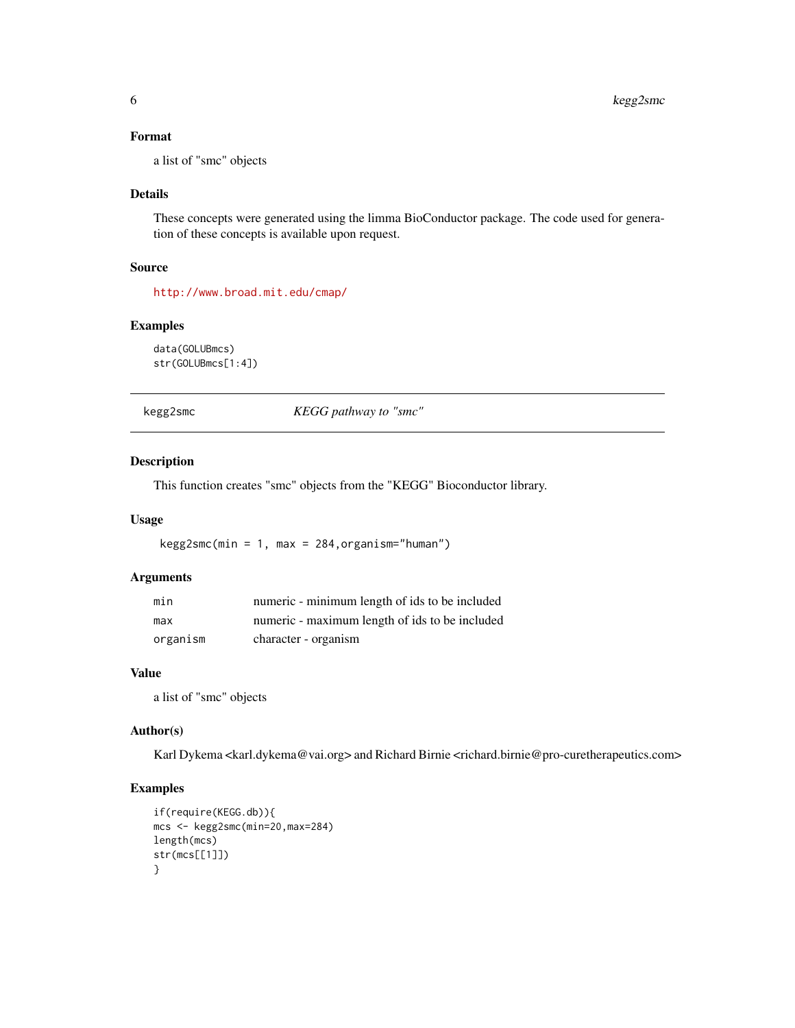## <span id="page-5-0"></span>Format

a list of "smc" objects

## Details

These concepts were generated using the limma BioConductor package. The code used for generation of these concepts is available upon request.

#### Source

<http://www.broad.mit.edu/cmap/>

#### Examples

```
data(GOLUBmcs)
str(GOLUBmcs[1:4])
```
kegg2smc *KEGG pathway to "smc"*

## Description

This function creates "smc" objects from the "KEGG" Bioconductor library.

#### Usage

kegg2smc(min = 1, max = 284,organism="human")

## Arguments

| min      | numeric - minimum length of ids to be included |
|----------|------------------------------------------------|
| max      | numeric - maximum length of ids to be included |
| organism | character - organism                           |

#### Value

a list of "smc" objects

#### Author(s)

Karl Dykema <karl.dykema@vai.org> and Richard Birnie <richard.birnie@pro-curetherapeutics.com>

```
if(require(KEGG.db)){
mcs <- kegg2smc(min=20,max=284)
length(mcs)
str(mcs[[1]])
}
```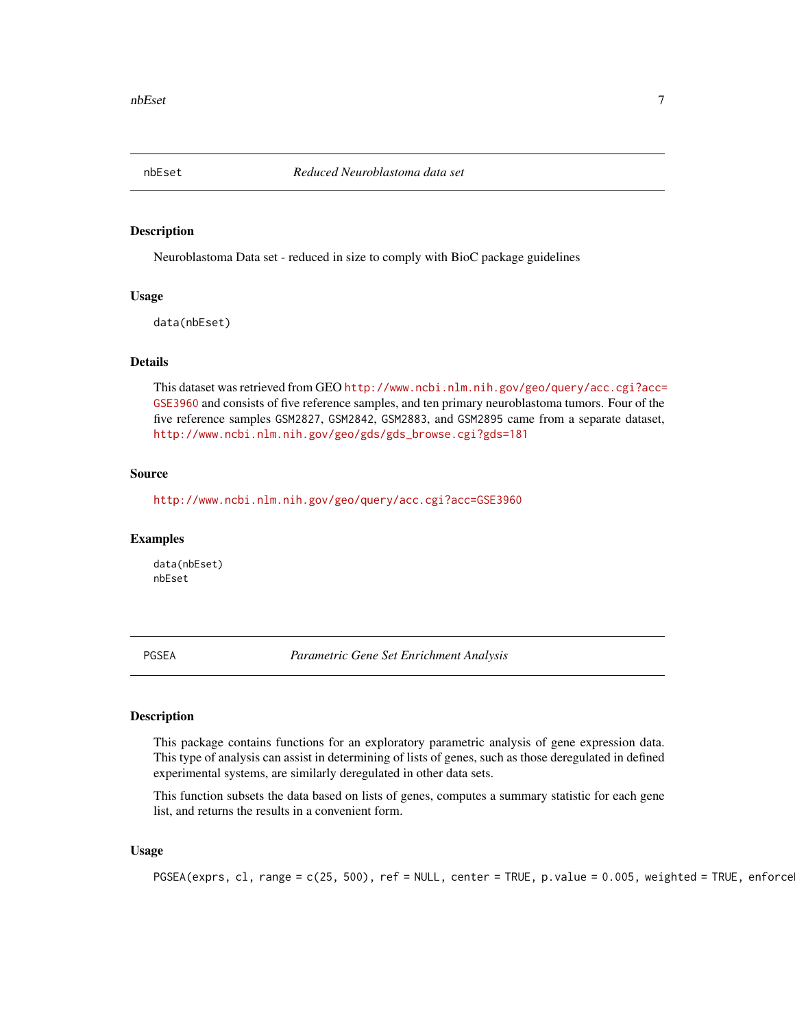<span id="page-6-0"></span>

Neuroblastoma Data set - reduced in size to comply with BioC package guidelines

#### Usage

data(nbEset)

#### Details

This dataset was retrieved from GEO [http://www.ncbi.nlm.nih.gov/geo/query/acc.cgi?acc=](http://www.ncbi.nlm.nih.gov/geo/query/acc.cgi?acc=GSE3960) [GSE3960](http://www.ncbi.nlm.nih.gov/geo/query/acc.cgi?acc=GSE3960) and consists of five reference samples, and ten primary neuroblastoma tumors. Four of the five reference samples GSM2827, GSM2842, GSM2883, and GSM2895 came from a separate dataset, [http://www.ncbi.nlm.nih.gov/geo/gds/gds\\_browse.cgi?gds=181](http://www.ncbi.nlm.nih.gov/geo/gds/gds_browse.cgi?gds=181)

## Source

<http://www.ncbi.nlm.nih.gov/geo/query/acc.cgi?acc=GSE3960>

#### Examples

data(nbEset) nbEset

PGSEA *Parametric Gene Set Enrichment Analysis*

#### Description

This package contains functions for an exploratory parametric analysis of gene expression data. This type of analysis can assist in determining of lists of genes, such as those deregulated in defined experimental systems, are similarly deregulated in other data sets.

This function subsets the data based on lists of genes, computes a summary statistic for each gene list, and returns the results in a convenient form.

#### Usage

```
PGSEA(exprs, cl, range = c(25, 500), ref = NULL, center = TRUE, p.value = 0.005, weighted = TRUE, enforce
```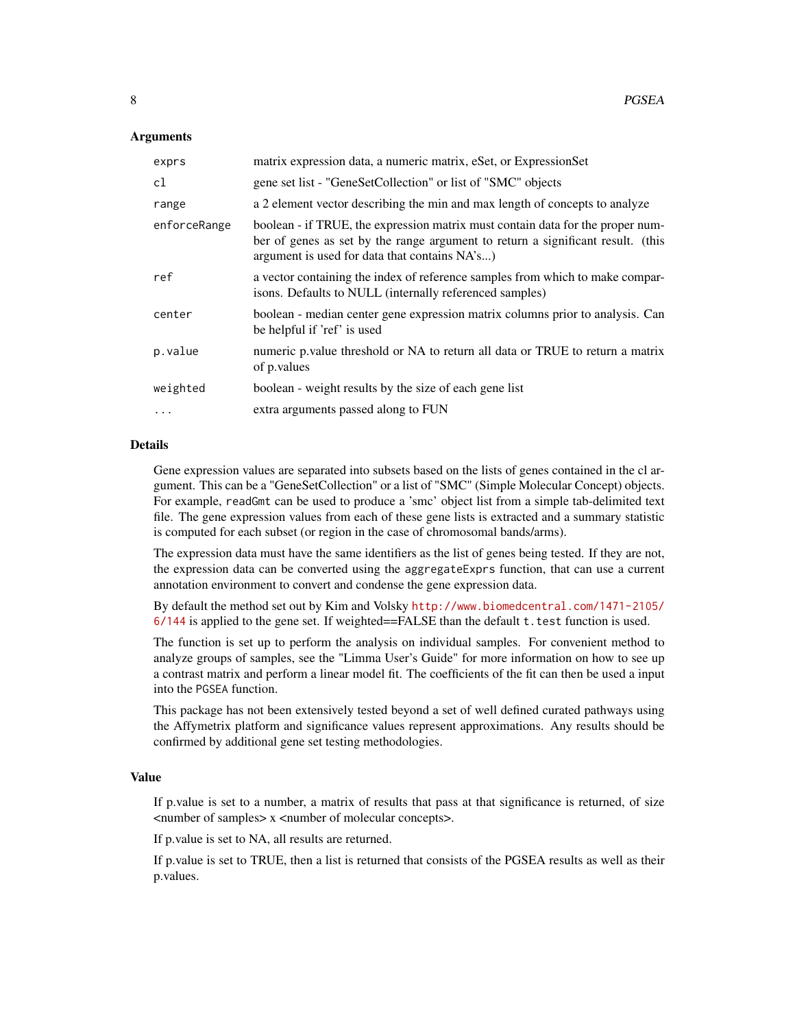#### Arguments

| exprs        | matrix expression data, a numeric matrix, eSet, or ExpressionSet                                                                                                                                                   |
|--------------|--------------------------------------------------------------------------------------------------------------------------------------------------------------------------------------------------------------------|
| cl           | gene set list - "GeneSetCollection" or list of "SMC" objects                                                                                                                                                       |
| range        | a 2 element vector describing the min and max length of concepts to analyze                                                                                                                                        |
| enforceRange | boolean - if TRUE, the expression matrix must contain data for the proper num-<br>ber of genes as set by the range argument to return a significant result. (this<br>argument is used for data that contains NA's) |
| ref          | a vector containing the index of reference samples from which to make compar-<br>isons. Defaults to NULL (internally referenced samples)                                                                           |
| center       | boolean - median center gene expression matrix columns prior to analysis. Can<br>be helpful if 'ref' is used                                                                                                       |
| p.value      | numeric p.value threshold or NA to return all data or TRUE to return a matrix<br>of p.values                                                                                                                       |
| weighted     | boolean - weight results by the size of each gene list                                                                                                                                                             |
| $\cdot$      | extra arguments passed along to FUN                                                                                                                                                                                |

#### Details

Gene expression values are separated into subsets based on the lists of genes contained in the cl argument. This can be a "GeneSetCollection" or a list of "SMC" (Simple Molecular Concept) objects. For example, readGmt can be used to produce a 'smc' object list from a simple tab-delimited text file. The gene expression values from each of these gene lists is extracted and a summary statistic is computed for each subset (or region in the case of chromosomal bands/arms).

The expression data must have the same identifiers as the list of genes being tested. If they are not, the expression data can be converted using the aggregateExprs function, that can use a current annotation environment to convert and condense the gene expression data.

By default the method set out by Kim and Volsky [http://www.biomedcentral.com/1471-2105/](http://www.biomedcentral.com/1471-2105/6/144) [6/144](http://www.biomedcentral.com/1471-2105/6/144) is applied to the gene set. If weighted==FALSE than the default t.test function is used.

The function is set up to perform the analysis on individual samples. For convenient method to analyze groups of samples, see the "Limma User's Guide" for more information on how to see up a contrast matrix and perform a linear model fit. The coefficients of the fit can then be used a input into the PGSEA function.

This package has not been extensively tested beyond a set of well defined curated pathways using the Affymetrix platform and significance values represent approximations. Any results should be confirmed by additional gene set testing methodologies.

## Value

If p.value is set to a number, a matrix of results that pass at that significance is returned, of size <number of samples> x <number of molecular concepts>.

If p.value is set to NA, all results are returned.

If p.value is set to TRUE, then a list is returned that consists of the PGSEA results as well as their p.values.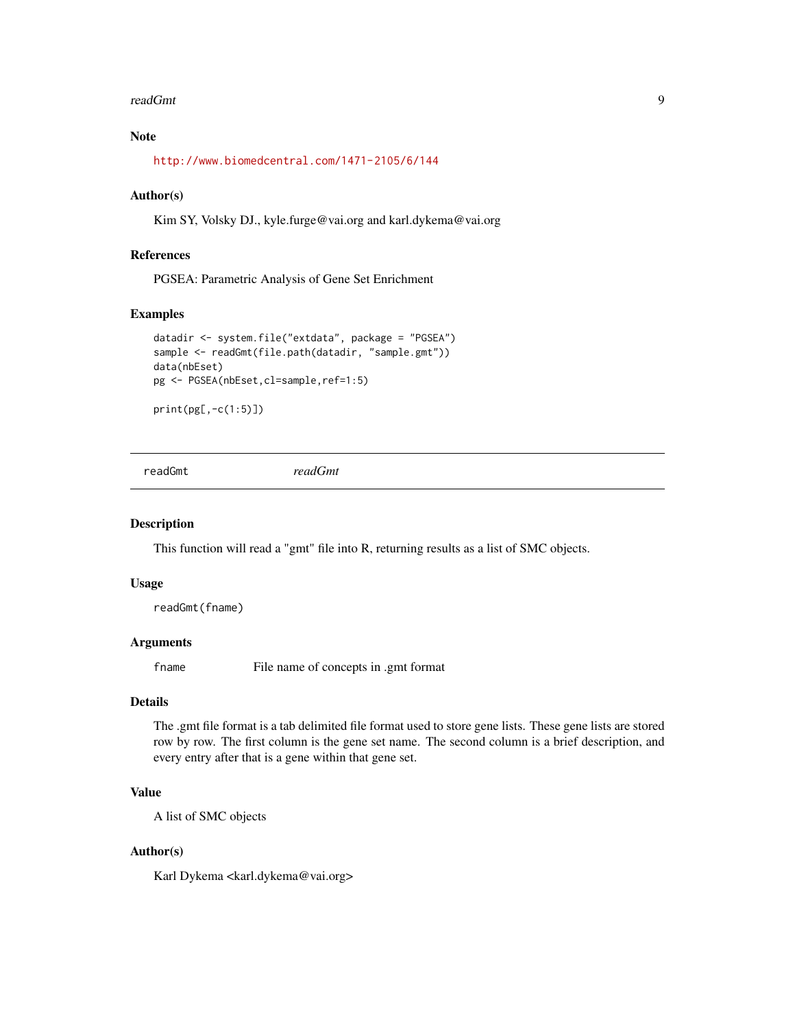#### <span id="page-8-0"></span>readGmt 9

## Note

<http://www.biomedcentral.com/1471-2105/6/144>

#### Author(s)

Kim SY, Volsky DJ., kyle.furge@vai.org and karl.dykema@vai.org

## References

PGSEA: Parametric Analysis of Gene Set Enrichment

## Examples

```
datadir <- system.file("extdata", package = "PGSEA")
sample <- readGmt(file.path(datadir, "sample.gmt"))
data(nbEset)
pg <- PGSEA(nbEset,cl=sample,ref=1:5)
```
print(pg[,-c(1:5)])

<span id="page-8-1"></span>readGmt *readGmt*

#### Description

This function will read a "gmt" file into R, returning results as a list of SMC objects.

#### Usage

readGmt(fname)

## Arguments

fname File name of concepts in .gmt format

#### Details

The .gmt file format is a tab delimited file format used to store gene lists. These gene lists are stored row by row. The first column is the gene set name. The second column is a brief description, and every entry after that is a gene within that gene set.

## Value

A list of SMC objects

#### Author(s)

Karl Dykema <karl.dykema@vai.org>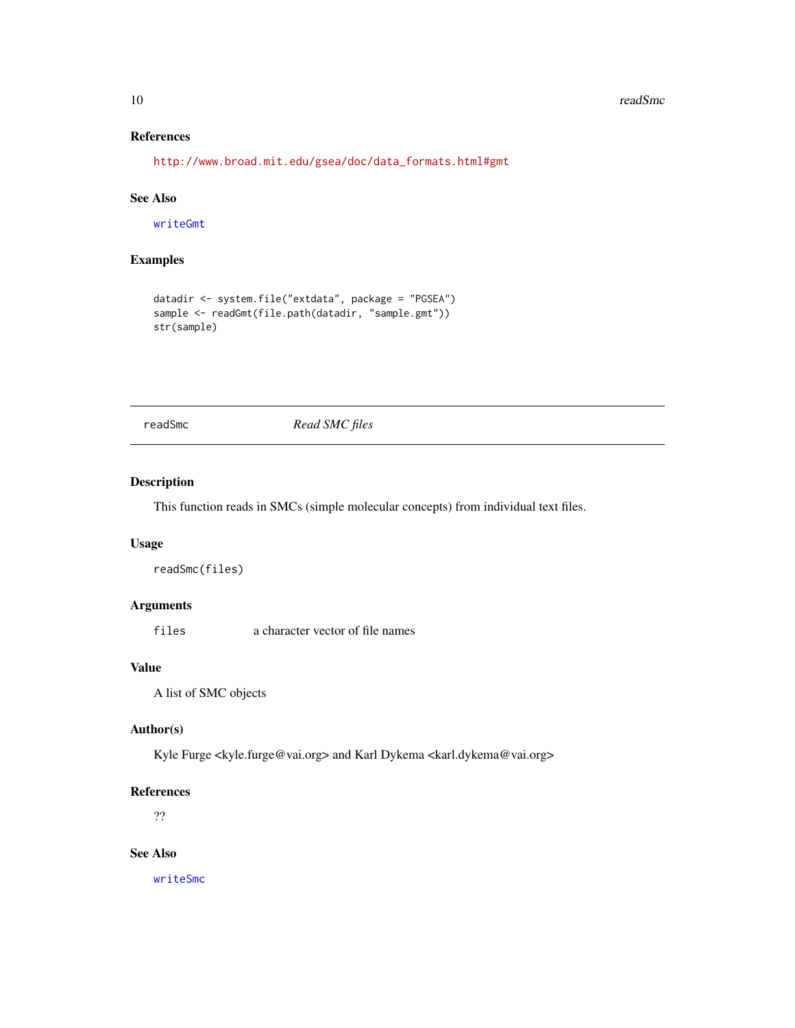#### <span id="page-9-0"></span>10 readSmc

## References

[http://www.broad.mit.edu/gsea/doc/data\\_formats.html#gmt](http://www.broad.mit.edu/gsea/doc/data_formats.html#gmt )

## See Also

[writeGmt](#page-13-1)

## Examples

```
datadir <- system.file("extdata", package = "PGSEA")
sample <- readGmt(file.path(datadir, "sample.gmt"))
str(sample)
```
readSmc *Read SMC files*

## Description

This function reads in SMCs (simple molecular concepts) from individual text files.

#### Usage

```
readSmc(files)
```
## Arguments

files a character vector of file names

## Value

A list of SMC objects

#### Author(s)

Kyle Furge <kyle.furge@vai.org> and Karl Dykema <karl.dykema@vai.org>

#### References

??

## See Also

[writeSmc](#page-14-1)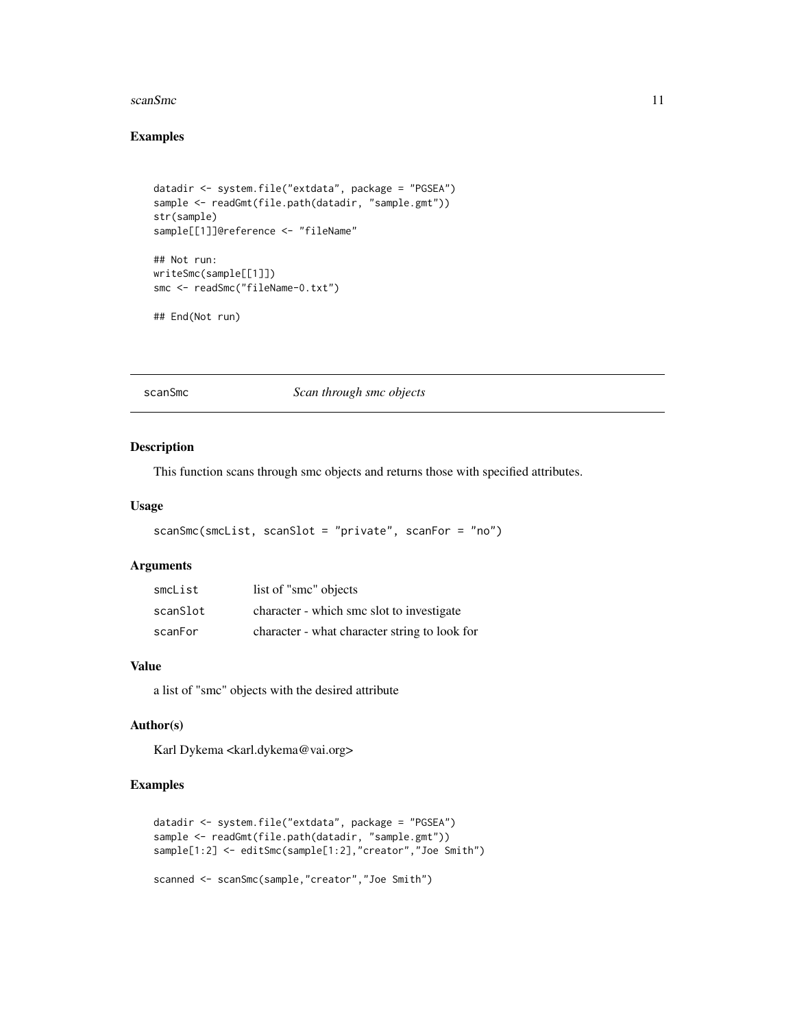#### <span id="page-10-0"></span>scanSmc 11

## Examples

```
datadir <- system.file("extdata", package = "PGSEA")
sample <- readGmt(file.path(datadir, "sample.gmt"))
str(sample)
sample[[1]]@reference <- "fileName"
## Not run:
writeSmc(sample[[1]])
smc <- readSmc("fileName-0.txt")
## End(Not run)
```
scanSmc *Scan through smc objects*

## Description

This function scans through smc objects and returns those with specified attributes.

## Usage

```
scanSmc(smcList, scanSlot = "private", scanFor = "no")
```
### Arguments

| smcList  | list of "smc" objects                         |
|----------|-----------------------------------------------|
| scanSlot | character - which smc slot to investigate     |
| scanFor  | character - what character string to look for |

## Value

a list of "smc" objects with the desired attribute

### Author(s)

Karl Dykema <karl.dykema@vai.org>

```
datadir <- system.file("extdata", package = "PGSEA")
sample <- readGmt(file.path(datadir, "sample.gmt"))
sample[1:2] <- editSmc(sample[1:2],"creator","Joe Smith")
scanned <- scanSmc(sample,"creator","Joe Smith")
```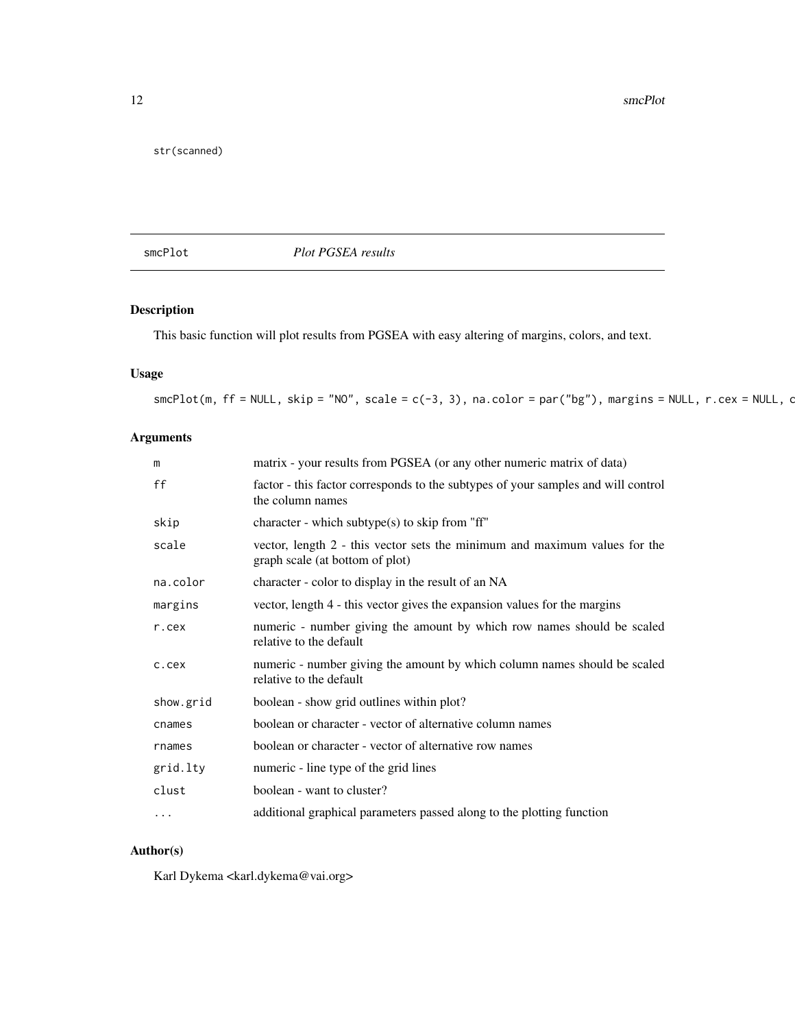<span id="page-11-0"></span>12 smcPlot

str(scanned)

smcPlot *Plot PGSEA results*

## Description

This basic function will plot results from PGSEA with easy altering of margins, colors, and text.

## Usage

 $smcPlot(m, ff = NULL, skip = "NO", scale = c(-3, 3), na-color = par("bg"), margins = NULL, r.cex = NULL, c$ 

## Arguments

| m         | matrix - your results from PGSEA (or any other numeric matrix of data)                                        |
|-----------|---------------------------------------------------------------------------------------------------------------|
| ff        | factor - this factor corresponds to the subtypes of your samples and will control<br>the column names         |
| skip      | character - which subtype(s) to skip from "ff"                                                                |
| scale     | vector, length 2 - this vector sets the minimum and maximum values for the<br>graph scale (at bottom of plot) |
| na.color  | character - color to display in the result of an NA                                                           |
| margins   | vector, length 4 - this vector gives the expansion values for the margins                                     |
| r.cex     | numeric - number giving the amount by which row names should be scaled<br>relative to the default             |
| c.cex     | numeric - number giving the amount by which column names should be scaled<br>relative to the default          |
| show.grid | boolean - show grid outlines within plot?                                                                     |
| cnames    | boolean or character - vector of alternative column names                                                     |
| rnames    | boolean or character - vector of alternative row names                                                        |
| grid.lty  | numeric - line type of the grid lines                                                                         |
| clust     | boolean - want to cluster?                                                                                    |
| $\cdots$  | additional graphical parameters passed along to the plotting function                                         |

## Author(s)

Karl Dykema <karl.dykema@vai.org>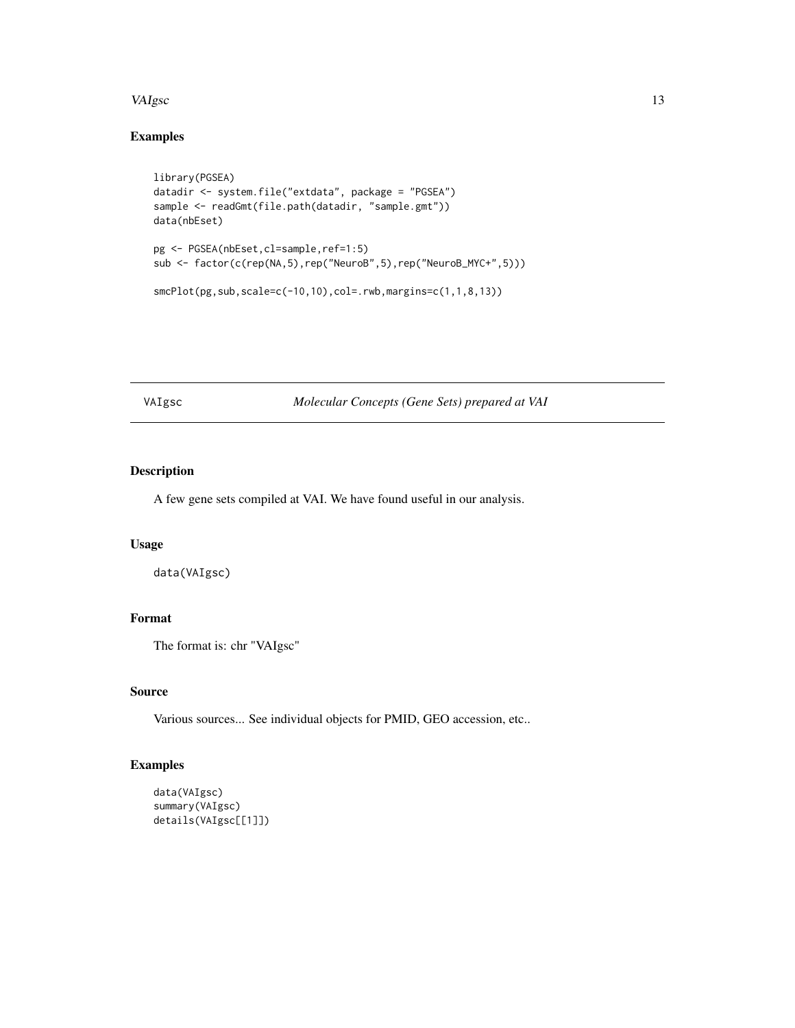#### <span id="page-12-0"></span>VAIgsc 23

## Examples

```
library(PGSEA)
datadir <- system.file("extdata", package = "PGSEA")
sample <- readGmt(file.path(datadir, "sample.gmt"))
data(nbEset)
pg <- PGSEA(nbEset,cl=sample,ref=1:5)
sub <- factor(c(rep(NA,5),rep("NeuroB",5),rep("NeuroB_MYC+",5)))
smcPlot(pg,sub,scale=c(-10,10),col=.rwb,margins=c(1,1,8,13))
```
VAIgsc *Molecular Concepts (Gene Sets) prepared at VAI*

## Description

A few gene sets compiled at VAI. We have found useful in our analysis.

#### Usage

data(VAIgsc)

## Format

The format is: chr "VAIgsc"

## Source

Various sources... See individual objects for PMID, GEO accession, etc..

```
data(VAIgsc)
summary(VAIgsc)
details(VAIgsc[[1]])
```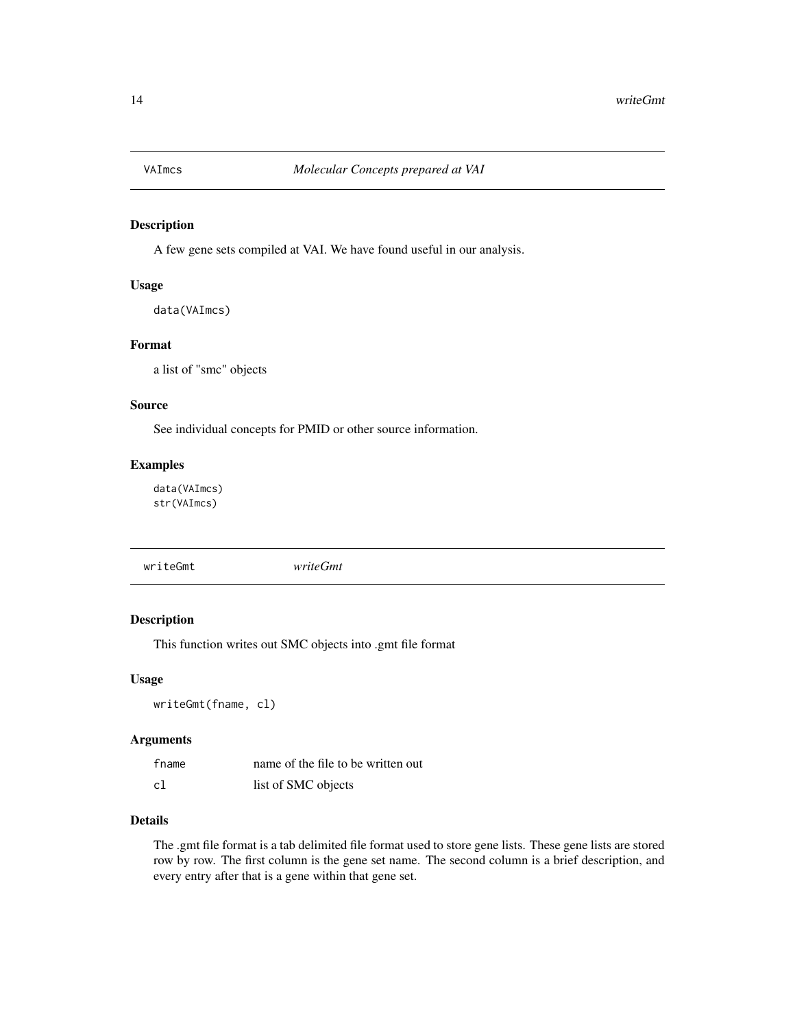<span id="page-13-0"></span>

A few gene sets compiled at VAI. We have found useful in our analysis.

## Usage

data(VAImcs)

#### Format

a list of "smc" objects

#### Source

See individual concepts for PMID or other source information.

## Examples

data(VAImcs) str(VAImcs)

<span id="page-13-1"></span>writeGmt *writeGmt*

## Description

This function writes out SMC objects into .gmt file format

## Usage

writeGmt(fname, cl)

#### Arguments

| fname | name of the file to be written out |
|-------|------------------------------------|
| c1    | list of SMC objects                |

## Details

The .gmt file format is a tab delimited file format used to store gene lists. These gene lists are stored row by row. The first column is the gene set name. The second column is a brief description, and every entry after that is a gene within that gene set.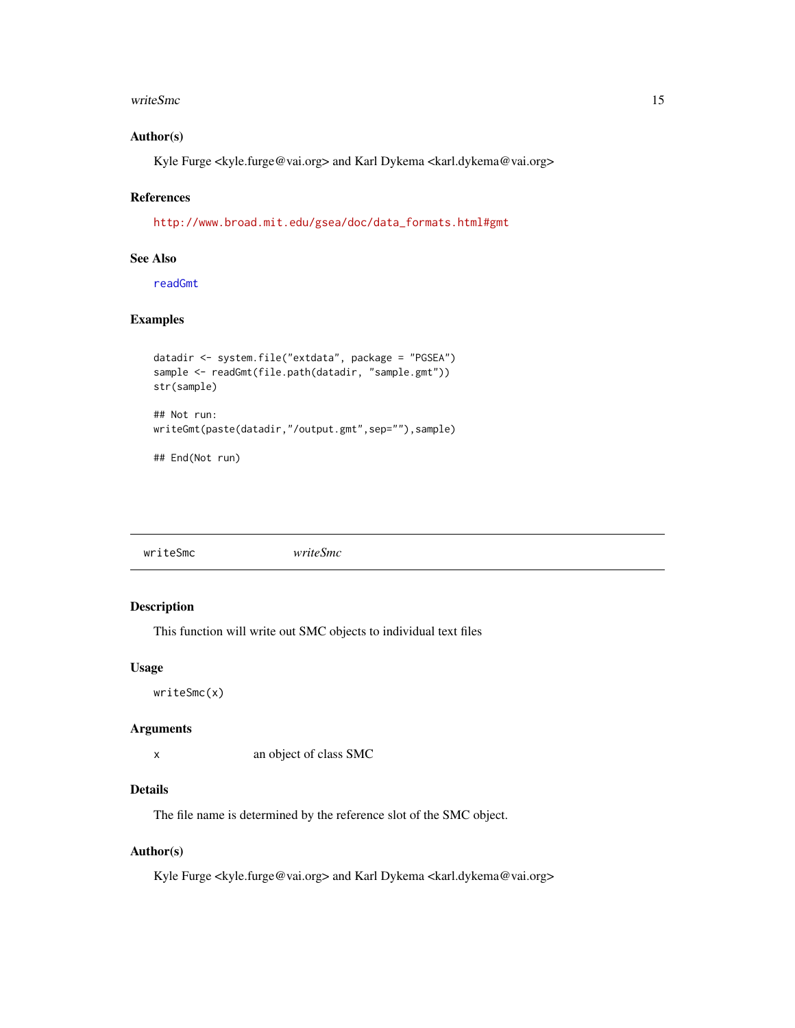#### <span id="page-14-0"></span>writeSmc 15

## Author(s)

Kyle Furge <kyle.furge@vai.org> and Karl Dykema <karl.dykema@vai.org>

## References

[http://www.broad.mit.edu/gsea/doc/data\\_formats.html#gmt](http://www.broad.mit.edu/gsea/doc/data_formats.html#gmt )

## See Also

[readGmt](#page-8-1)

## Examples

```
datadir <- system.file("extdata", package = "PGSEA")
sample <- readGmt(file.path(datadir, "sample.gmt"))
str(sample)
## Not run:
writeGmt(paste(datadir,"/output.gmt",sep=""),sample)
## End(Not run)
```
<span id="page-14-1"></span>writeSmc *writeSmc*

## Description

This function will write out SMC objects to individual text files

#### Usage

writeSmc(x)

#### Arguments

x an object of class SMC

#### Details

The file name is determined by the reference slot of the SMC object.

#### Author(s)

Kyle Furge <kyle.furge@vai.org> and Karl Dykema <karl.dykema@vai.org>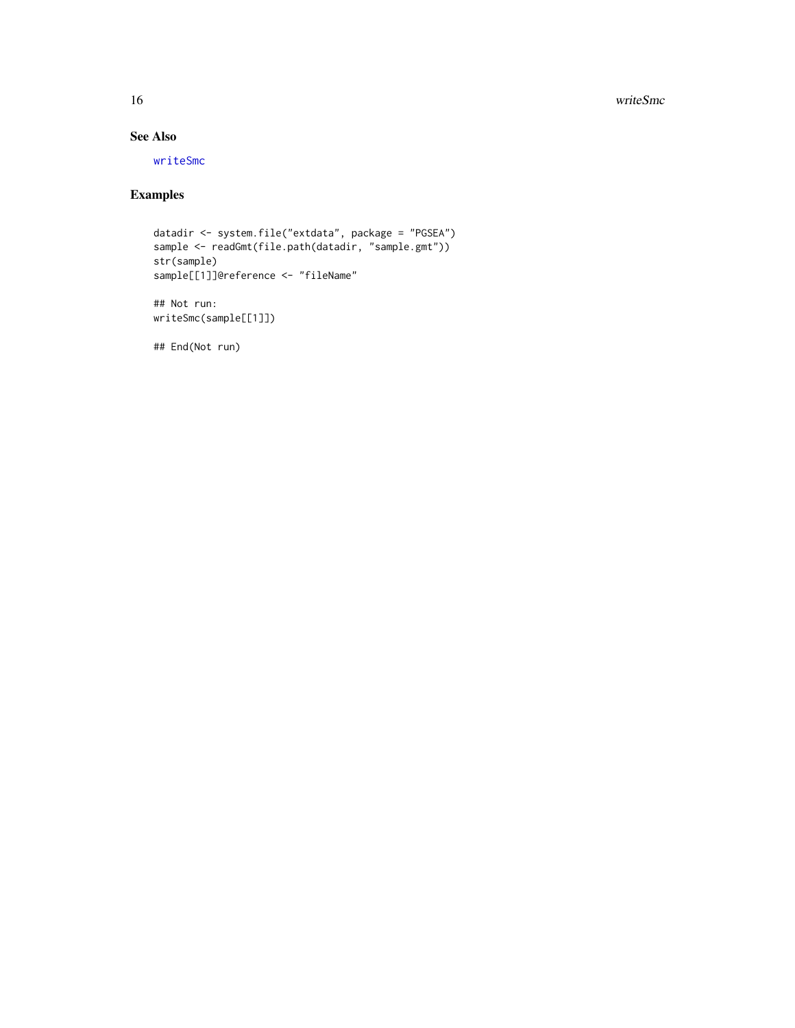16 writeSmc

## See Also

[writeSmc](#page-14-1)

## Examples

```
datadir <- system.file("extdata", package = "PGSEA")
sample <- readGmt(file.path(datadir, "sample.gmt"))
str(sample)
sample[[1]]@reference <- "fileName"
```
## Not run: writeSmc(sample[[1]])

## End(Not run)